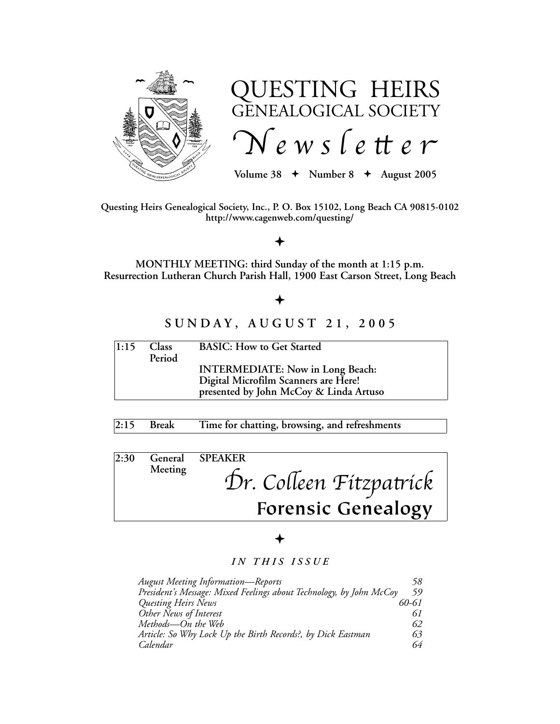

# QUESTING HEIRS GENEALOGICAL SOCIETY  $\int$  *N* e w s l e tt e r

 $Volume\ 38 + Number\ 8 + August\ 2005$ 

**Questing Heirs Genealogical Society, Inc., P. O. Box 15102, Long Beach CA 90815-0102 http://www.cagenweb.com/questing/**

# $\bigstar$

**MONTHLY MEETING: third Sunday of the month at 1:15 p.m. Resurrection Lutheran Church Parish Hall, 1900 East Carson Street, Long Beach**

# $\bigstar$

# **S U N D A Y , A U G U S T 2 1 , 2 0 0 5**

| 1:15 | <b>Class</b><br>Period | <b>BASIC: How to Get Started</b>        |
|------|------------------------|-----------------------------------------|
|      |                        | <b>INTERMEDIATE:</b> Now in Long Beach: |
|      |                        | Digital Microfilm Scanners are Here!    |
|      |                        | presented by John McCoy & Linda Artuso  |

# **2:15 Break Time for chatting, browsing, and refreshments**

| 2:30 |         | General SPEAKER           |
|------|---------|---------------------------|
|      | Meeting |                           |
|      |         | Dr. Colleen Fitzpatrick   |
|      |         |                           |
|      |         | <b>Forensic Genealogy</b> |

# $\bigstar$

# *I N T H I S I S S U E*

| <b>August Meeting Information-Reports</b>                           | 58    |
|---------------------------------------------------------------------|-------|
| President's Message: Mixed Feelings about Technology, by John McCoy | 59    |
| Questing Heirs News                                                 | 60-61 |
| Other News of Interest                                              | 61    |
| Methods-On the Web                                                  | 62    |
| Article: So Why Lock Up the Birth Records?, by Dick Eastman         | 63    |
| Calendar                                                            | 64    |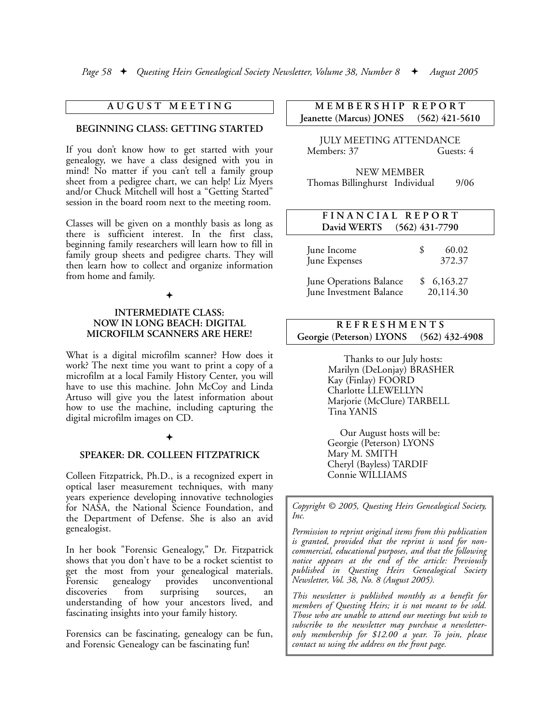## **A U G U S T M E E T I N G**

#### **BEGINNING CLASS: GETTING STARTED**

If you don't know how to get started with your genealogy, we have a class designed with you in mind! No matter if you can't tell a family group sheet from a pedigree chart, we can help! Liz Myers and/or Chuck Mitchell will host a "Getting Started" session in the board room next to the meeting room.

Classes will be given on a monthly basis as long as there is sufficient interest. In the first class, beginning family researchers will learn how to fill in family group sheets and pedigree charts. They will then learn how to collect and organize information from home and family.

#### $\bigstar$

#### **INTERMEDIATE CLASS: NOW IN LONG BEACH: DIGITAL MICROFILM SCANNERS ARE HERE!**

What is a digital microfilm scanner? How does it work? The next time you want to print a copy of a microfilm at a local Family History Center, you will have to use this machine. John McCoy and Linda Artuso will give you the latest information about how to use the machine, including capturing the digital microfilm images on CD.

#### $\bigstar$

#### **SPEAKER: DR. COLLEEN FITZPATRICK**

Colleen Fitzpatrick, Ph.D., is a recognized expert in optical laser measurement techniques, with many years experience developing innovative technologies for NASA, the National Science Foundation, and the Department of Defense. She is also an avid genealogist.

In her book "Forensic Genealogy," Dr. Fitzpatrick shows that you don't have to be a rocket scientist to get the most from your genealogical materials. Forensic genealogy provides unconventional discoveries from surprising sources, an understanding of how your ancestors lived, and fascinating insights into your family history.

Forensics can be fascinating, genealogy can be fun, and Forensic Genealogy can be fascinating fun!

# **M E M B E R S H I P R E P O R T Jeanette (Marcus) JONES (562) 421-5610**

JULY MEETING ATTENDANCE Members: 37 Guests: 4

NEW MEMBER Thomas Billinghurst Individual 9/06

| FINANCIAL REPORT<br>David WERTS                    | $(562)$ 431-7790        |
|----------------------------------------------------|-------------------------|
| June Income<br>June Expenses                       | 60.02<br>S<br>372.37    |
| June Operations Balance<br>June Investment Balance | \$6,163.27<br>20,114.30 |

# **R E F R E S H M E N T S Georgie (Peterson) LYONS (562) 432-4908**

Thanks to our July hosts: Marilyn (DeLonjay) BRASHER Kay (Finlay) FOORD Charlotte LLEWELLYN Marjorie (McClure) TARBELL Tina YANIS

Our August hosts will be: Georgie (Peterson) LYONS Mary M. SMITH Cheryl (Bayless) TARDIF Connie WILLIAMS

*Copyright © 2005, Questing Heirs Genealogical Society, Inc.*

*Permission to reprint original items from this publication is granted, provided that the reprint is used for noncommercial, educational purposes, and that the following notice appears at the end of the article: Previously published in Questing Heirs Genealogical Society Newsletter, Vol. 38, No. 8 (August 2005).*

*This newsletter is published monthly as a benefit for members of Questing Heirs; it is not meant to be sold. Those who are unable to attend our meetings but wish to subscribe to the newsletter may purchase a newsletteronly membership for \$12.00 a year. To join, please contact us using the address on the front page.*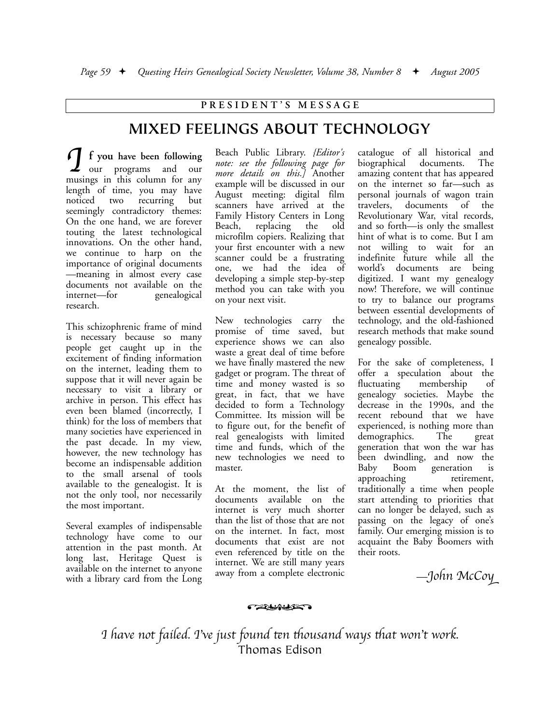## **P R E S I D E N T ' S M E S S A G E**

# **MIXED FEELINGS ABOUT TECHNOLOGY**

**f you have been following** our programs and our musings in this column for any length of time, you may have noticed two recurring but seemingly contradictory themes: On the one hand, we are forever touting the latest technological innovations. On the other hand, we continue to harp on the importance of original documents —meaning in almost every case documents not available on the internet—for genealogical research.  $\int$ 

This schizophrenic frame of mind is necessary because so many people get caught up in the excitement of finding information on the internet, leading them to suppose that it will never again be necessary to visit a library or archive in person. This effect has even been blamed (incorrectly, I think) for the loss of members that many societies have experienced in the past decade. In my view, however, the new technology has become an indispensable addition to the small arsenal of tools available to the genealogist. It is not the only tool, nor necessarily the most important.

Several examples of indispensable technology have come to our attention in the past month. At long last, Heritage Quest is available on the internet to anyone with a library card from the Long Beach Public Library. *{Editor's note: see the following page for more details on this.]* Another example will be discussed in our August meeting: digital film scanners have arrived at the Family History Centers in Long Beach, replacing the old microfilm copiers. Realizing that your first encounter with a new scanner could be a frustrating one, we had the idea of developing a simple step-by-step method you can take with you on your next visit.

New technologies carry the promise of time saved, but experience shows we can also waste a great deal of time before we have finally mastered the new gadget or program. The threat of time and money wasted is so great, in fact, that we have decided to form a Technology Committee. Its mission will be to figure out, for the benefit of real genealogists with limited time and funds, which of the new technologies we need to master.

At the moment, the list of documents available on the internet is very much shorter than the list of those that are not on the internet. In fact, most documents that exist are not even referenced by title on the internet. We are still many years away from a complete electronic

catalogue of all historical and biographical documents. The amazing content that has appeared on the internet so far—such as personal journals of wagon train travelers, documents of the Revolutionary War, vital records, and so forth—is only the smallest hint of what is to come. But I am not willing to wait for an indefinite future while all the world's documents are being digitized. I want my genealogy now! Therefore, we will continue to try to balance our programs between essential developments of technology, and the old-fashioned research methods that make sound genealogy possible.

For the sake of completeness, I offer a speculation about the fluctuating membership of genealogy societies. Maybe the decrease in the 1990s, and the recent rebound that we have experienced, is nothing more than demographics. The great generation that won the war has been dwindling, and now the Baby Boom generation is approaching retirement, traditionally a time when people start attending to priorities that can no longer be delayed, such as passing on the legacy of one's family. Our emerging mission is to acquaint the Baby Boomers with their roots.

! —*John McCo*(

' *have not failed. I*)*ve just found* \**n* +*ousand ways* +*at won*)*t work.* Thomas Edison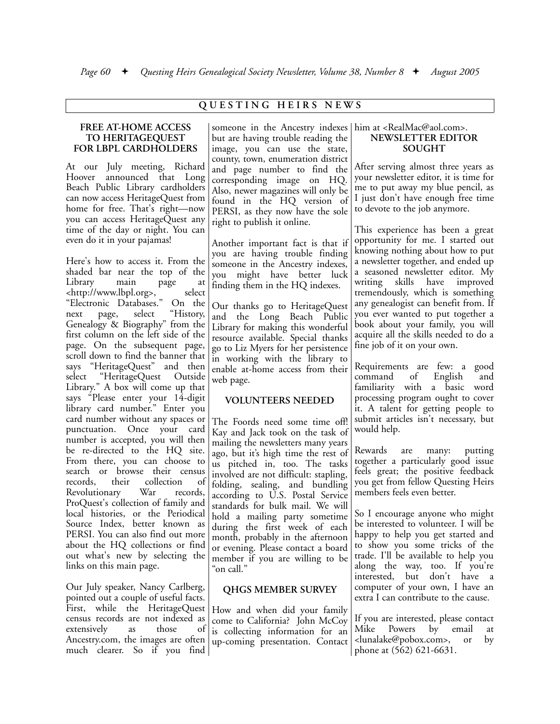## **Q U E S T I N G H E I R S N E W S**

#### **FREE AT-HOME ACCESS TO HERITAGEQUEST FOR LBPL CARDHOLDERS**

At our July meeting, Richard Hoover announced that Long Beach Public Library cardholders can now access HeritageQuest from home for free. That's right—now you can access HeritageQuest any time of the day or night. You can even do it in your pajamas!

Here's how to access it. From the shaded bar near the top of the Library main page at <http://www.lbpl.org>, select "Electronic Databases." On the next page, select "History, Genealogy & Biography" from the first column on the left side of the page. On the subsequent page, scroll down to find the banner that says "HeritageQuest" and then select "HeritageQuest Outside Library." A box will come up that says "Please enter your 14-digit library card number." Enter you card number without any spaces or punctuation. Once your card number is accepted, you will then be re-directed to the HQ site. From there, you can choose to search or browse their census records, their collection of Revolutionary War records, ProQuest's collection of family and local histories, or the Periodical Source Index, better known as PERSI. You can also find out more about the HQ collections or find out what's new by selecting the links on this main page.

Our July speaker, Nancy Carlberg, pointed out a couple of useful facts. First, while the HeritageQuest census records are not indexed as extensively as those of Ancestry.com, the images are often much clearer. So if you find

## someone in the Ancestry indexes him at <RealMac@aol.com>. but are having trouble reading the image, you can use the state, county, town, enumeration district and page number to find the corresponding image on HQ. Also, newer magazines will only be found in the HQ version of PERSI, as they now have the sole right to publish it online.

Another important fact is that if you are having trouble finding someone in the Ancestry indexes, you might have better luck finding them in the HQ indexes.

Our thanks go to HeritageQuest and the Long Beach Public Library for making this wonderful resource available. Special thanks go to Liz Myers for her persistence in working with the library to enable at-home access from their web page.

# **VOLUNTEERS NEEDED**

The Foords need some time off! Kay and Jack took on the task of mailing the newsletters many years ago, but it's high time the rest of us pitched in, too. The tasks involved are not difficult: stapling, folding, sealing, and bundling according to U.S. Postal Service standards for bulk mail. We will hold a mailing party sometime during the first week of each month, probably in the afternoon or evening. Please contact a board member if you are willing to be "on call."

# **QHGS MEMBER SURVEY**

How and when did your family come to California? John McCoy is collecting information for an up-coming presentation. Contact

# **NEWSLETTER EDITOR SOUGHT**

After serving almost three years as your newsletter editor, it is time for me to put away my blue pencil, as I just don't have enough free time to devote to the job anymore.

This experience has been a great opportunity for me. I started out knowing nothing about how to put a newsletter together, and ended up a seasoned newsletter editor. My writing skills have improved tremendously, which is something any genealogist can benefit from. If you ever wanted to put together a book about your family, you will acquire all the skills needed to do a fine job of it on your own.

Requirements are few: a good command of English and familiarity with a basic word processing program ought to cover it. A talent for getting people to submit articles isn't necessary, but would help.

Rewards are many: putting together a particularly good issue feels great; the positive feedback you get from fellow Questing Heirs members feels even better.

So I encourage anyone who might be interested to volunteer. I will be happy to help you get started and to show you some tricks of the trade. I'll be available to help you along the way, too. If you're interested, but don't have a computer of your own, I have an extra I can contribute to the cause.

If you are interested, please contact Mike Powers by email at <lunalake@pobox.com>, or by phone at (562) 621-6631.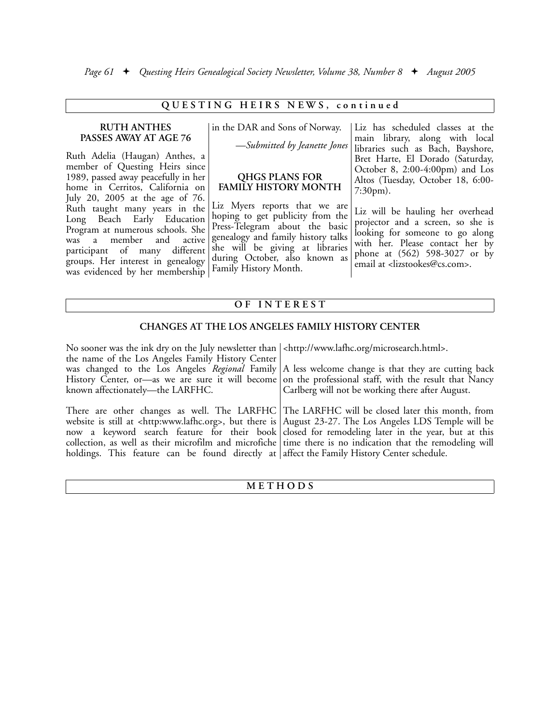## QUESTING HEIRS NEWS, continued

#### **RUTH ANTHES PASSES AWAY AT AGE 76**

Ruth Adelia (Haugan) Anthes, a member of Questing Heirs since 1989, passed away peacefully in her home in Cerritos, California on July 20, 2005 at the age of 76. Ruth taught many years in the Long Beach Early Education Program at numerous schools. She was a member and active participant of many different groups. Her interest in genealogy was evidenced by her membership

in the DAR and Sons of Norway. —*Submitted by Jeanette Jones*

# **QHGS PLANS FOR FAMILY HISTORY MONTH**

Liz Myers reports that we are hoping to get publicity from the Press-Telegram about the basic genealogy and family history talks she will be giving at libraries during October, also known as Family History Month.

Liz has scheduled classes at the main library, along with local libraries such as Bach, Bayshore, Bret Harte, El Dorado (Saturday, October 8, 2:00-4:00pm) and Los Altos (Tuesday, October 18, 6:00- 7:30pm).

> Liz will be hauling her overhead projector and a screen, so she is looking for someone to go along with her. Please contact her by phone at (562) 598-3027 or by email at <lizstookes@cs.com>.

# **O F I N T E R E S T**

#### **CHANGES AT THE LOS ANGELES FAMILY HISTORY CENTER**

| No sooner was the ink dry on the July newsletter than   <http: microsearch.html="" www.lafhc.org="">.</http:> |                                                                                                                                                                                                                                                                                                                                                                                                                                                  |
|---------------------------------------------------------------------------------------------------------------|--------------------------------------------------------------------------------------------------------------------------------------------------------------------------------------------------------------------------------------------------------------------------------------------------------------------------------------------------------------------------------------------------------------------------------------------------|
| the name of the Los Angeles Family History Center                                                             |                                                                                                                                                                                                                                                                                                                                                                                                                                                  |
|                                                                                                               | was changed to the Los Angeles Regional Family   A less welcome change is that they are cutting back                                                                                                                                                                                                                                                                                                                                             |
|                                                                                                               | History Center, or—as we are sure it will become on the professional staff, with the result that Nancy                                                                                                                                                                                                                                                                                                                                           |
| known affectionately—the LARFHC.                                                                              | Carlberg will not be working there after August.                                                                                                                                                                                                                                                                                                                                                                                                 |
| holdings. This feature can be found directly at affect the Family History Center schedule.                    | There are other changes as well. The LARFHC The LARFHC will be closed later this month, from<br>website is still at <http:www.lafhc.org>, but there is August 23-27. The Los Angeles LDS Temple will be<br/>now a keyword search feature for their book closed for remodeling later in the year, but at this<br/>collection, as well as their microfilm and microfiche time there is no indication that the remodeling will</http:www.lafhc.org> |

## **M E T H O D S**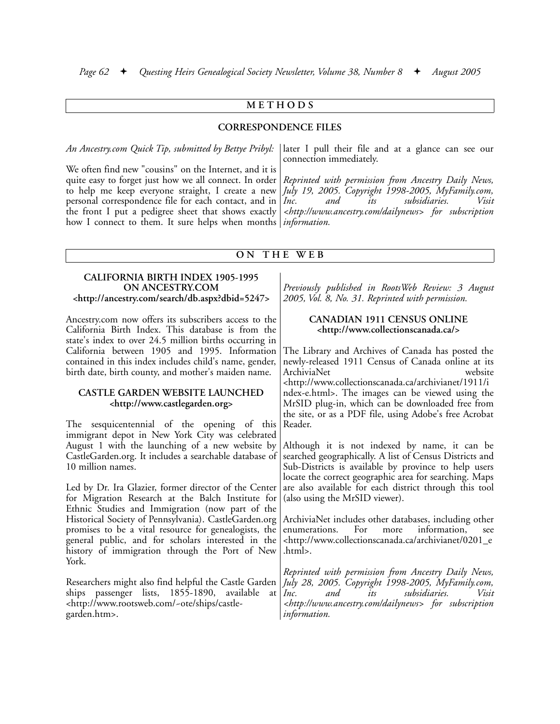## **M E T H O D S**

#### **CORRESPONDENCE FILES**

*An Ancestry.com Quick Tip, submitted by Bettye Pribyl:*

We often find new "cousins" on the Internet, and it is quite easy to forget just how we all connect. In order to help me keep everyone straight, I create a new personal correspondence file for each contact, and in  $|Inc$ . the front I put a pedigree sheet that shows exactly how I connect to them. It sure helps when months *information.*

later I pull their file and at a glance can see our connection immediately.

*Reprinted with permission from Ancestry Daily News, July 19, 2005. Copyright 1998-2005, MyFamily.com, and its subsidiaries. <http://www.ancestry.com/dailynews> for subscription*

#### **O N T H E W E B**

#### **CALIFORNIA BIRTH INDEX 1905-1995 ON ANCESTRY.COM <http://ancestry.com/search/db.aspx?dbid=5247>**

Ancestry.com now offers its subscribers access to the California Birth Index. This database is from the state's index to over 24.5 million births occurring in California between 1905 and 1995. Information contained in this index includes child's name, gender, birth date, birth county, and mother's maiden name.

#### **CASTLE GARDEN WEBSITE LAUNCHED <http://www.castlegarden.org>**

The sesquicentennial of the opening of this immigrant depot in New York City was celebrated August 1 with the launching of a new website by CastleGarden.org. It includes a searchable database of 10 million names.

Led by Dr. Ira Glazier, former director of the Center for Migration Research at the Balch Institute for Ethnic Studies and Immigration (now part of the Historical Society of Pennsylvania). CastleGarden.org promises to be a vital resource for genealogists, the general public, and for scholars interested in the history of immigration through the Port of New York.

Researchers might also find helpful the Castle Garden ships passenger lists, 1855-1890, available at <http://www.rootsweb.com/~ote/ships/castlegarden.htm>.

*Previously published in RootsWeb Review: 3 August 2005, Vol. 8, No. 31. Reprinted with permission.*

#### **CANADIAN 1911 CENSUS ONLINE <http://www.collectionscanada.ca/>**

The Library and Archives of Canada has posted the newly-released 1911 Census of Canada online at its ArchiviaNet <http://www.collectionscanada.ca/archivianet/1911/i ndex-e.html>. The images can be viewed using the MrSID plug-in, which can be downloaded free from the site, or as a PDF file, using Adobe's free Acrobat Reader.

Although it is not indexed by name, it can be searched geographically. A list of Census Districts and Sub-Districts is available by province to help users locate the correct geographic area for searching. Maps are also available for each district through this tool (also using the MrSID viewer).

ArchiviaNet includes other databases, including other enumerations. For more information, see <http://www.collectionscanada.ca/archivianet/0201\_e .html>.

*Reprinted with permission from Ancestry Daily News, July 28, 2005. Copyright 1998-2005, MyFamily.com, Inc. and its subsidiaries. Visit <http://www.ancestry.com/dailynews> for subscription information.*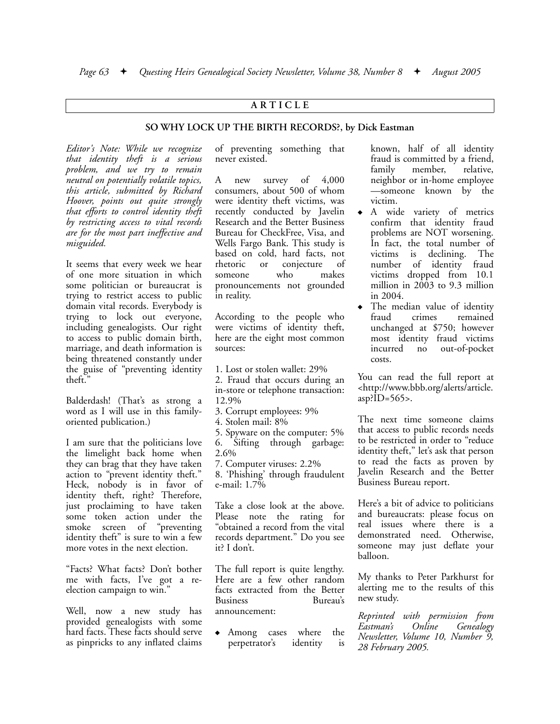## **A R T I C L E**

#### **SO WHY LOCK UP THE BIRTH RECORDS?, by Dick Eastman**

*Editor's Note: While we recognize that identity theft is a serious problem, and we try to remain neutral on potentially volatile topics, this article, submitted by Richard Hoover, points out quite strongly that efforts to control identity theft by restricting access to vital records are for the most part ineffective and misguided.*

It seems that every week we hear of one more situation in which some politician or bureaucrat is trying to restrict access to public domain vital records. Everybody is trying to lock out everyone, including genealogists. Our right to access to public domain birth, marriage, and death information is being threatened constantly under the guise of "preventing identity theft."

Balderdash! (That's as strong a word as I will use in this familyoriented publication.)

I am sure that the politicians love the limelight back home when they can brag that they have taken action to "prevent identity theft." Heck, nobody is in favor of identity theft, right? Therefore, just proclaiming to have taken some token action under the smoke screen of "preventing identity theft" is sure to win a few more votes in the next election.

"Facts? What facts? Don't bother me with facts, I've got a reelection campaign to win."

Well, now a new study has provided genealogists with some hard facts. These facts should serve as pinpricks to any inflated claims of preventing something that never existed.

A new survey of 4,000 consumers, about 500 of whom were identity theft victims, was recently conducted by Javelin Research and the Better Business Bureau for CheckFree, Visa, and Wells Fargo Bank. This study is based on cold, hard facts, not rhetoric or conjecture of someone who makes pronouncements not grounded in reality.

According to the people who were victims of identity theft, here are the eight most common sources:

1. Lost or stolen wallet: 29%

2. Fraud that occurs during an in-store or telephone transaction: 12.9%

3. Corrupt employees: 9%

4. Stolen mail: 8%

5. Spyware on the computer: 5% 6. Sifting through garbage: 2.6%

7. Computer viruses: 2.2%

8. 'Phishing' through fraudulent e-mail: 1.7%

Take a close look at the above. Please note the rating for "obtained a record from the vital records department." Do you see it? I don't.

The full report is quite lengthy. Here are a few other random facts extracted from the Better Business Bureau's announcement:

• Among cases where the perpetrator's identity is known, half of all identity fraud is committed by a friend, family member, relative, neighbor or in-home employee —someone known by the victim.

- A wide variety of metrics confirm that identity fraud problems are NOT worsening. In fact, the total number of victims is declining. The number of identity fraud victims dropped from 10.1 million in 2003 to 9.3 million in 2004.
- The median value of identity<br>fraud crimes remained crimes remained unchanged at \$750; however most identity fraud victims incurred no out-of-pocket costs.

You can read the full report at <http://www.bbb.org/alerts/article.  $asp?ID=565$ .

The next time someone claims that access to public records needs to be restricted in order to "reduce identity theft," let's ask that person to read the facts as proven by Javelin Research and the Better Business Bureau report.

Here's a bit of advice to politicians and bureaucrats: please focus on real issues where there is a demonstrated need. Otherwise, someone may just deflate your balloon.

My thanks to Peter Parkhurst for alerting me to the results of this new study.

*Reprinted with permission from Eastman's Online Genealogy Newsletter, Volume 10, Number 9, 28 February 2005.*